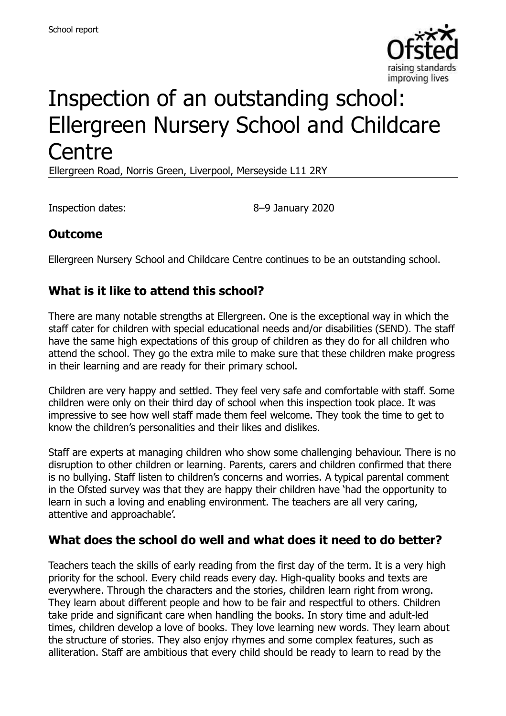

# Inspection of an outstanding school: Ellergreen Nursery School and Childcare **Centre**

Ellergreen Road, Norris Green, Liverpool, Merseyside L11 2RY

Inspection dates: 8–9 January 2020

## **Outcome**

Ellergreen Nursery School and Childcare Centre continues to be an outstanding school.

### **What is it like to attend this school?**

There are many notable strengths at Ellergreen. One is the exceptional way in which the staff cater for children with special educational needs and/or disabilities (SEND). The staff have the same high expectations of this group of children as they do for all children who attend the school. They go the extra mile to make sure that these children make progress in their learning and are ready for their primary school.

Children are very happy and settled. They feel very safe and comfortable with staff. Some children were only on their third day of school when this inspection took place. It was impressive to see how well staff made them feel welcome. They took the time to get to know the children's personalities and their likes and dislikes.

Staff are experts at managing children who show some challenging behaviour. There is no disruption to other children or learning. Parents, carers and children confirmed that there is no bullying. Staff listen to children's concerns and worries. A typical parental comment in the Ofsted survey was that they are happy their children have 'had the opportunity to learn in such a loving and enabling environment. The teachers are all very caring, attentive and approachable'.

#### **What does the school do well and what does it need to do better?**

Teachers teach the skills of early reading from the first day of the term. It is a very high priority for the school. Every child reads every day. High-quality books and texts are everywhere. Through the characters and the stories, children learn right from wrong. They learn about different people and how to be fair and respectful to others. Children take pride and significant care when handling the books. In story time and adult-led times, children develop a love of books. They love learning new words. They learn about the structure of stories. They also enjoy rhymes and some complex features, such as alliteration. Staff are ambitious that every child should be ready to learn to read by the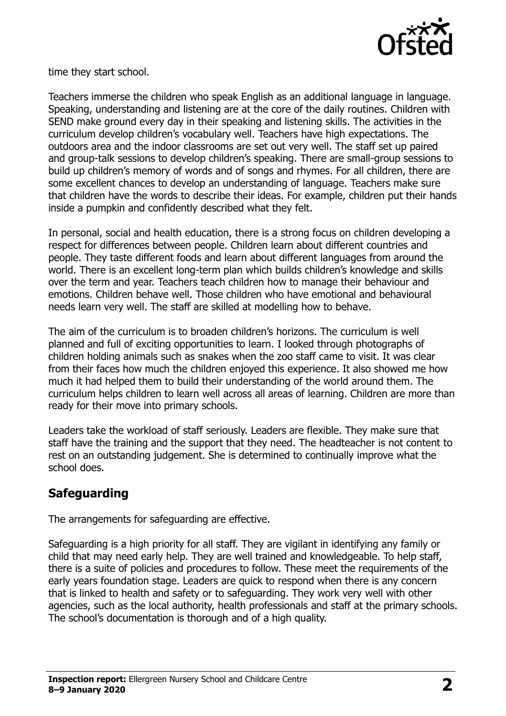

time they start school.

Teachers immerse the children who speak English as an additional language in language. Speaking, understanding and listening are at the core of the daily routines. Children with SEND make ground every day in their speaking and listening skills. The activities in the curriculum develop children's vocabulary well. Teachers have high expectations. The outdoors area and the indoor classrooms are set out very well. The staff set up paired and group-talk sessions to develop children's speaking. There are small-group sessions to build up children's memory of words and of songs and rhymes. For all children, there are some excellent chances to develop an understanding of language. Teachers make sure that children have the words to describe their ideas. For example, children put their hands inside a pumpkin and confidently described what they felt.

In personal, social and health education, there is a strong focus on children developing a respect for differences between people. Children learn about different countries and people. They taste different foods and learn about different languages from around the world. There is an excellent long-term plan which builds children's knowledge and skills over the term and year. Teachers teach children how to manage their behaviour and emotions. Children behave well. Those children who have emotional and behavioural needs learn very well. The staff are skilled at modelling how to behave.

The aim of the curriculum is to broaden children's horizons. The curriculum is well planned and full of exciting opportunities to learn. I looked through photographs of children holding animals such as snakes when the zoo staff came to visit. It was clear from their faces how much the children enjoyed this experience. It also showed me how much it had helped them to build their understanding of the world around them. The curriculum helps children to learn well across all areas of learning. Children are more than ready for their move into primary schools.

Leaders take the workload of staff seriously. Leaders are flexible. They make sure that staff have the training and the support that they need. The headteacher is not content to rest on an outstanding judgement. She is determined to continually improve what the school does.

## **Safeguarding**

The arrangements for safeguarding are effective.

Safeguarding is a high priority for all staff. They are vigilant in identifying any family or child that may need early help. They are well trained and knowledgeable. To help staff, there is a suite of policies and procedures to follow. These meet the requirements of the early years foundation stage. Leaders are quick to respond when there is any concern that is linked to health and safety or to safeguarding. They work very well with other agencies, such as the local authority, health professionals and staff at the primary schools. The school's documentation is thorough and of a high quality.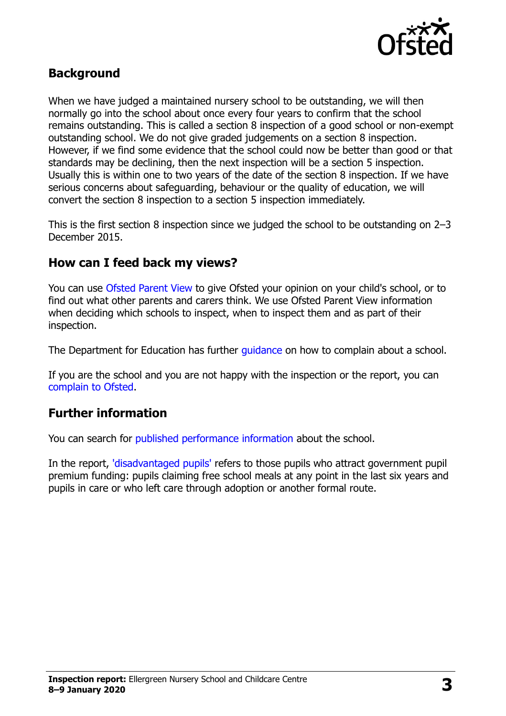

#### **Background**

When we have judged a maintained nursery school to be outstanding, we will then normally go into the school about once every four years to confirm that the school remains outstanding. This is called a section 8 inspection of a good school or non-exempt outstanding school. We do not give graded judgements on a section 8 inspection. However, if we find some evidence that the school could now be better than good or that standards may be declining, then the next inspection will be a section 5 inspection. Usually this is within one to two years of the date of the section 8 inspection. If we have serious concerns about safeguarding, behaviour or the quality of education, we will convert the section 8 inspection to a section 5 inspection immediately.

This is the first section 8 inspection since we judged the school to be outstanding on 2–3 December 2015.

#### **How can I feed back my views?**

You can use [Ofsted Parent View](https://parentview.ofsted.gov.uk/) to give Ofsted your opinion on your child's school, or to find out what other parents and carers think. We use Ofsted Parent View information when deciding which schools to inspect, when to inspect them and as part of their inspection.

The Department for Education has further quidance on how to complain about a school.

If you are the school and you are not happy with the inspection or the report, you can [complain to Ofsted.](https://www.gov.uk/complain-ofsted-report)

#### **Further information**

You can search for [published performance information](http://www.compare-school-performance.service.gov.uk/) about the school.

In the report, ['disadvantaged pupils'](http://www.gov.uk/guidance/pupil-premium-information-for-schools-and-alternative-provision-settings) refers to those pupils who attract government pupil premium funding: pupils claiming free school meals at any point in the last six years and pupils in care or who left care through adoption or another formal route.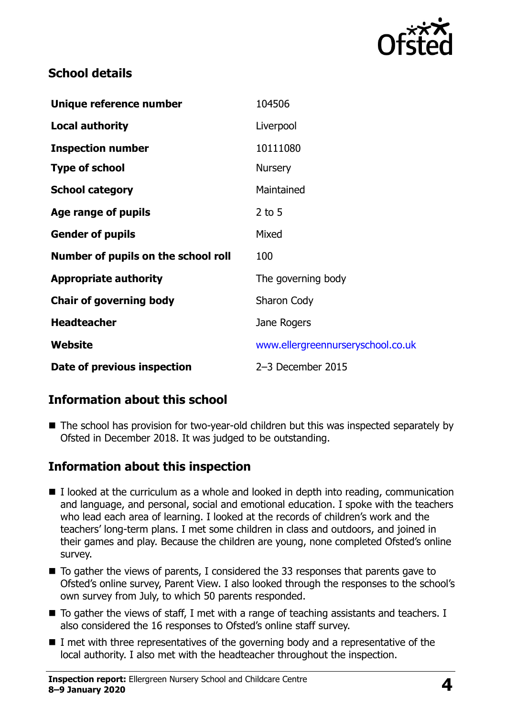

### **School details**

| Unique reference number             | 104506                            |
|-------------------------------------|-----------------------------------|
| <b>Local authority</b>              | Liverpool                         |
| <b>Inspection number</b>            | 10111080                          |
| <b>Type of school</b>               | <b>Nursery</b>                    |
| <b>School category</b>              | Maintained                        |
| Age range of pupils                 | $2$ to 5                          |
| <b>Gender of pupils</b>             | Mixed                             |
| Number of pupils on the school roll | 100                               |
| <b>Appropriate authority</b>        | The governing body                |
| <b>Chair of governing body</b>      | Sharon Cody                       |
| <b>Headteacher</b>                  | Jane Rogers                       |
| Website                             | www.ellergreennurseryschool.co.uk |
| Date of previous inspection         | 2-3 December 2015                 |

## **Information about this school**

■ The school has provision for two-year-old children but this was inspected separately by Ofsted in December 2018. It was judged to be outstanding.

#### **Information about this inspection**

- I looked at the curriculum as a whole and looked in depth into reading, communication and language, and personal, social and emotional education. I spoke with the teachers who lead each area of learning. I looked at the records of children's work and the teachers' long-term plans. I met some children in class and outdoors, and joined in their games and play. Because the children are young, none completed Ofsted's online survey.
- $\blacksquare$  To gather the views of parents, I considered the 33 responses that parents gave to Ofsted's online survey, Parent View. I also looked through the responses to the school's own survey from July, to which 50 parents responded.
- To gather the views of staff, I met with a range of teaching assistants and teachers. I also considered the 16 responses to Ofsted's online staff survey.
- $\blacksquare$  I met with three representatives of the governing body and a representative of the local authority. I also met with the headteacher throughout the inspection.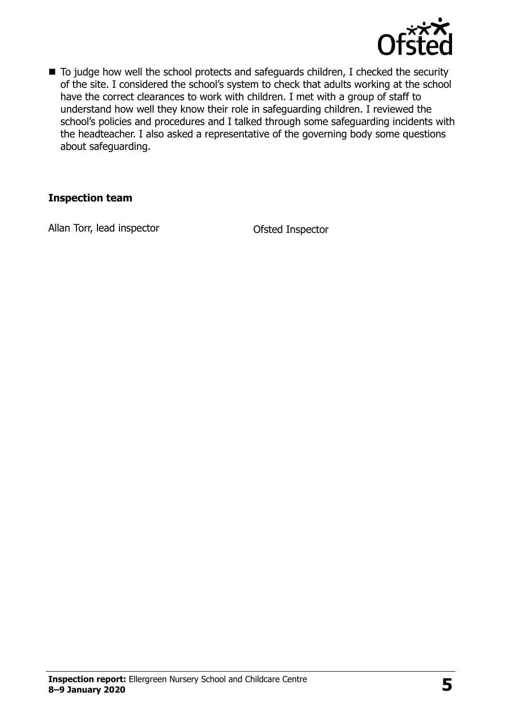

■ To judge how well the school protects and safeguards children, I checked the security of the site. I considered the school's system to check that adults working at the school have the correct clearances to work with children. I met with a group of staff to understand how well they know their role in safeguarding children. I reviewed the school's policies and procedures and I talked through some safeguarding incidents with the headteacher. I also asked a representative of the governing body some questions about safeguarding.

#### **Inspection team**

Allan Torr, lead inspector and Ofsted Inspector